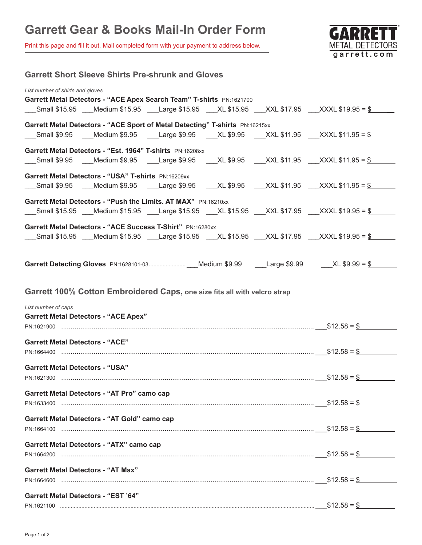Print this page and fill it out. Mail completed form with your payment to address below.



| <b>Garrett Short Sleeve Shirts Pre-shrunk and Gloves</b>                                                            |              |
|---------------------------------------------------------------------------------------------------------------------|--------------|
| List number of shirts and gloves<br>Garrett Metal Detectors - "ACE Apex Search Team" T-shirts PN:1621700            |              |
| ___Small \$15.95 ___Medium \$15.95 ___Large \$15.95 ___XL \$15.95 ___XXL \$17.95 ___XXXL \$19.95 = \$               |              |
| Garrett Metal Detectors - "ACE Sport of Metal Detecting" T-shirts PN:16215xx                                        |              |
| Small \$9.95   Medium \$9.95   Large \$9.95   XL \$9.95   XXL \$11.95  XXXL \$11.95 = <u>\$</u>                     |              |
| Garrett Metal Detectors - "Est. 1964" T-shirts PN:16208xx                                                           |              |
| ___Small \$9.95  __Medium \$9.95  ___Large \$9.95  ___XL \$9.95  ___XXL \$11.95 ___XXXL \$11.95 = <u>\$</u> _____   |              |
| Garrett Metal Detectors - "USA" T-shirts PN:16209xx                                                                 |              |
| ___Small \$9.95 ___Medium \$9.95 ___Large \$9.95 ___XL \$9.95 ___XXL \$11.95 ___XXXL \$11.95 = <u>\$</u>            |              |
| Garrett Metal Detectors - "Push the Limits. AT MAX" PN:16210xx                                                      |              |
| ___Small \$15.95 ___Medium \$15.95 ___Large \$15.95 ___XL \$15.95 ___XXL \$17.95 ___XXXL \$19.95 = <u>\$_______</u> |              |
| Garrett Metal Detectors - "ACE Success T-Shirt" PN:16280xx                                                          |              |
| ___Small \$15.95 ___Medium \$15.95 ___Large \$15.95 ___XL \$15.95 ___XXL \$17.95 ___XXXL \$19.95 = \$               |              |
|                                                                                                                     |              |
|                                                                                                                     |              |
|                                                                                                                     |              |
| Garrett 100% Cotton Embroidered Caps, one size fits all with velcro strap                                           |              |
| List number of caps                                                                                                 |              |
| <b>Garrett Metal Detectors - "ACE Apex"</b>                                                                         |              |
|                                                                                                                     |              |
| <b>Garrett Metal Detectors - "ACE"</b>                                                                              |              |
|                                                                                                                     |              |
| <b>Garrett Metal Detectors - "USA"</b>                                                                              |              |
| PN:1621300                                                                                                          | $$12.58 = $$ |
| Garrett Metal Detectors - "AT Pro" camo cap                                                                         |              |
|                                                                                                                     |              |
| Garrett Metal Detectors - "AT Gold" camo cap                                                                        |              |
|                                                                                                                     |              |
| Garrett Metal Detectors - "ATX" camo cap                                                                            |              |
| PN:1664200                                                                                                          |              |
| <b>Garrett Metal Detectors - "AT Max"</b>                                                                           |              |
| PN:1664600                                                                                                          |              |
| <b>Garrett Metal Detectors - "EST '64"</b>                                                                          |              |
|                                                                                                                     |              |